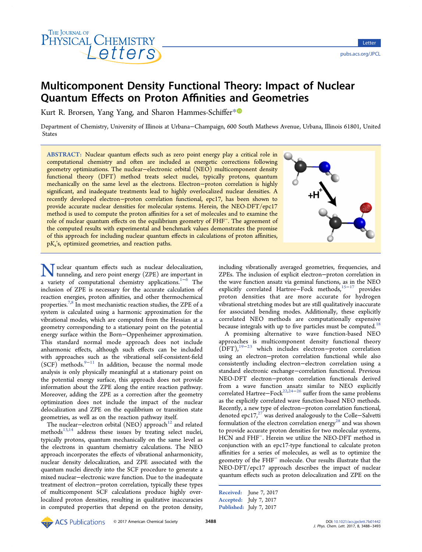

# Multicomponent Density Functional Theory: Impact of Nuclear Quantum Effects on Proton Affinities and Geometries

Kurt R. Brorsen, Yang Yang, and Sharon Hammes-Schiffer[\\*](#page-4-0)<sup>®</sup>

Department of Chemistry, University of Illinois at Urbana−Champaign, 600 South Mathews Avenue, Urbana, Illinois 61801, United States

ABSTRACT: Nuclear quantum effects such as zero point energy play a critical role in computational chemistry and often are included as energetic corrections following geometry optimizations. The nuclear−electronic orbital (NEO) multicomponent density functional theory (DFT) method treats select nuclei, typically protons, quantum mechanically on the same level as the electrons. Electron-proton correlation is highly significant, and inadequate treatments lead to highly overlocalized nuclear densities. A recently developed electron−proton correlation functional, epc17, has been shown to provide accurate nuclear densities for molecular systems. Herein, the NEO-DFT/epc17 method is used to compute the proton affinities for a set of molecules and to examine the role of nuclear quantum effects on the equilibrium geometry of FHF<sup>−</sup>. The agreement of the computed results with experimental and benchmark values demonstrates the promise of this approach for including nuclear quantum effects in calculations of proton affinities,  $pK_a$ 's, optimized geometries, and reaction paths.



Wuclear quantum effects such as nuclear delocalization,<br>tunneling, and zero point energy (ZPE) are important in<br>a variety of computational chamietry applications  $1-6$ . The a variety of computational chemistry applications.[1](#page-4-0)−[6](#page-4-0) The inclusion of ZPE is necessary for the accurate calculation of reaction energies, proton affinities, and other thermochemical properties.<sup>[7](#page-4-0),[8](#page-4-0)</sup> In most mechanistic reaction studies, the ZPE of a system is calculated using a harmonic approximation for the vibrational modes, which are computed from the Hessian at a geometry corresponding to a stationary point on the potential energy surface within the Born−Oppenheimer approximation. This standard normal mode approach does not include anharmonic effects, although such effects can be included with approaches such as the vibrational self-consistent-field  $(SCF)$  methods.<sup>[9](#page-4-0)-[11](#page-4-0)</sup> In addition, because the normal mode analysis is only physically meaningful at a stationary point on the potential energy surface, this approach does not provide information about the ZPE along the entire reaction pathway. Moreover, adding the ZPE as a correction after the geometry optimization does not include the impact of the nuclear delocalization and ZPE on the equilibrium or transition state geometries, as well as on the reaction pathway itself.

The nuclear–electron orbital (NEO) approach<sup>[12](#page-4-0)</sup> and related methods $^{13,14}$  $^{13,14}$  $^{13,14}$  $^{13,14}$  $^{13,14}$  address these issues by treating select nuclei, typically protons, quantum mechanically on the same level as the electrons in quantum chemistry calculations. The NEO approach incorporates the effects of vibrational anharmonicity, nuclear density delocalization, and ZPE associated with the quantum nuclei directly into the SCF procedure to generate a mixed nuclear−electronic wave function. Due to the inadequate treatment of electron−proton correlation, typically these types of multicomponent SCF calculations produce highly overlocalized proton densities, resulting in qualitative inaccuracies in computed properties that depend on the proton density, including vibrationally averaged geometries, frequencies, and ZPEs. The inclusion of explicit electron−proton correlation in the wave function ansatz via geminal functions, as in the NEO explicitly correlated Hartree–Fock methods,<sup>[15](#page-4-0)−[17](#page-4-0)</sup> provides proton densities that are more accurate for hydrogen vibrational stretching modes but are still qualitatively inaccurate for associated bending modes. Additionally, these explicitly correlated NEO methods are computationally expensive because integrals with up to five particles must be computed.<sup>[18](#page-4-0)</sup>

A promising alternative to wave function-based NEO approaches is multicomponent density functional theory (DFT),[19](#page-4-0)−[23](#page-4-0) which includes electron−proton correlation using an electron−proton correlation functional while also consistently including electron−electron correlation using a standard electronic exchange−correlation functional. Previous NEO-DFT electron−proton correlation functionals derived from a wave function ansatz similar to NEO explicitly correlated Hartree–Fock<sup>[22](#page-4-0),[24](#page-4-0)–[26](#page-4-0)</sup> suffer from the same problems as the explicitly correlated wave function-based NEO methods. Recently, a new type of electron−proton correlation functional, denoted epc17,[27](#page-4-0) was derived analogously to the Colle−Salvetti formulation of the electron correlation energy<sup>[28](#page-4-0)</sup> and was shown to provide accurate proton densities for two molecular systems, HCN and FHF<sup>−</sup>. Herein we utilize the NEO-DFT method in conjunction with an epc17-type functional to calculate proton affinities for a series of molecules, as well as to optimize the geometry of the FHF<sup>−</sup> molecule. Our results illustrate that the NEO-DFT/epc17 approach describes the impact of nuclear quantum effects such as proton delocalization and ZPE on the

```
Received: June 7, 2017
Accepted: July 7, 2017
Published: July 7, 2017
```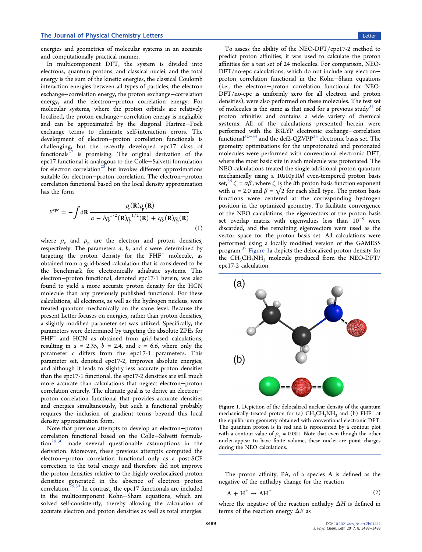<span id="page-1-0"></span>energies and geometries of molecular systems in an accurate and computationally practical manner.

In multicomponent DFT, the system is divided into electrons, quantum protons, and classical nuclei, and the total energy is the sum of the kinetic energies, the classical Coulomb interaction energies between all types of particles, the electron exchange−correlation energy, the proton exchange−correlation energy, and the electron−proton correlation energy. For molecular systems, where the proton orbitals are relatively localized, the proton exchange−correlation energy is negligible and can be approximated by the diagonal Hartree−Fock exchange terms to eliminate self-interaction errors. The development of electron−proton correlation functionals is challenging, but the recently developed epc17 class of functionals $27$  is promising. The original derivation of the epc17 functional is analogous to the Colle−Salvetti formulation for electron correlation<sup>[28](#page-4-0)</sup> but invokes different approximations suitable for electron−proton correlation. The electron−proton correlation functional based on the local density approximation has the form

$$
E^{\text{epc}} = -\int d\mathbf{R} \frac{\rho_{\text{e}}(\mathbf{R})\rho_{\text{p}}(\mathbf{R})}{a - b\rho_{\text{e}}^{1/2}(\mathbf{R})\rho_{\text{p}}^{1/2}(\mathbf{R}) + c\rho_{\text{e}}(\mathbf{R})\rho_{\text{p}}(\mathbf{R})}
$$
\n(1)

where  $\rho_e$  and  $\rho_p$  are the electron and proton densities, respectively. The parameters  $a$ ,  $b$ , and  $c$  were determined by targeting the proton density for the FHF<sup>−</sup> molecule, as obtained from a grid-based calculation that is considered to be the benchmark for electronically adiabatic systems. This electron−proton functional, denoted epc17-1 herein, was also found to yield a more accurate proton density for the HCN molecule than any previously published functional. For these calculations, all electrons, as well as the hydrogen nucleus, were treated quantum mechanically on the same level. Because the present Letter focuses on energies, rather than proton densities, a slightly modified parameter set was utilized. Specifically, the parameters were determined by targeting the absolute ZPEs for FHF<sup>-</sup> and HCN as obtained from grid-based calculations, resulting in  $a = 2.35$ ,  $b = 2.4$ , and  $c = 6.6$ , where only the parameter c differs from the epc17-1 parameters. This parameter set, denoted epc17-2, improves absolute energies, and although it leads to slightly less accurate proton densities than the epc17-1 functional, the epc17-2 densities are still much more accurate than calculations that neglect electron−proton correlation entirely. The ultimate goal is to derive an electron− proton correlation functional that provides accurate densities and energies simultaneously, but such a functional probably requires the inclusion of gradient terms beyond this local density approximation form.

Note that previous attempts to develop an electron−proton correlation functional based on the Colle−Salvetti formula- $\frac{1}{29,30}$  $\frac{1}{29,30}$  $\frac{1}{29,30}$  made several questionable assumptions in the derivation. Moreover, these previous attempts computed the electron−proton correlation functional only as a post-SCF correction to the total energy and therefore did not improve the proton densities relative to the highly overlocalized proton densities generated in the absence of electron−proton correlation.<sup>[29](#page-4-0),[30](#page-4-0)</sup> In contrast, the epc17 functionals are included in the multicomponent Kohn−Sham equations, which are solved self-consistently, thereby allowing the calculation of accurate electron and proton densities as well as total energies.

To assess the ability of the NEO-DFT/epc17-2 method to predict proton affinities, it was used to calculate the proton affinities for a test set of 24 molecules. For comparison, NEO-DFT/no-epc calculations, which do not include any electron− proton correlation functional in the Kohn−Sham equations (i.e., the electron−proton correlation functional for NEO-DFT/no-epc is uniformly zero for all electron and proton densities), were also performed on these molecules. The test set of molecules is the same as that used for a previous study<sup>[31](#page-4-0)</sup> of proton affinities and contains a wide variety of chemical systems. All of the calculations presented herein were performed with the B3LYP electronic exchange−correlation functional[32](#page-5-0)−[34](#page-5-0) and the def2-QZVPP[35](#page-5-0) electronic basis set. The geometry optimizations for the unprotonated and protonated molecules were performed with conventional electronic DFT, where the most basic site in each molecule was protonated. The NEO calculations treated the single additional proton quantum mechanically using a 10s10p10d even-tempered proton basis set,<sup>[36](#page-5-0)</sup>  $\zeta_i = \alpha \beta^i$ , where  $\zeta_i$  is the *i*th proton basis function exponent with  $\alpha$  = 2.0 and  $\beta = \sqrt{2}$  for each shell type. The proton basis functions were centered at the corresponding hydrogen position in the optimized geometry. To facilitate convergence of the NEO calculations, the eigenvectors of the proton basis set overlap matrix with eigenvalues less than  $10^{-5}$  were discarded, and the remaining eigenvectors were used as the vector space for the proton basis set. All calculations were performed using a locally modified version of the GAMESS program.[37](#page-5-0) Figure 1a depicts the delocalized proton density for the  $CH<sub>3</sub>CH<sub>2</sub>NH<sub>3</sub>$  molecule produced from the NEO-DFT/ epc17-2 calculation.



Figure 1. Depiction of the delocalized nuclear density of the quantum mechanically treated proton for (a)  $CH_3CH_2NH_3$  and (b)  $FHF^-$  at the equilibrium geometry obtained with conventional electronic DFT. The quantum proton is in red and is represented by a contour plot with a contour value of  $\rho_p = 0.001$ . Note that even though the other nuclei appear to have finite volume, these nuclei are point charges during the NEO calculations.

The proton affinity, PA, of a species A is defined as the negative of the enthalpy change for the reaction

$$
A + H^{+} \rightarrow AH^{+}
$$
 (2)

where the negative of the reaction enthalpy  $\Delta H$  is defined in terms of the reaction energy  $\Delta E$  as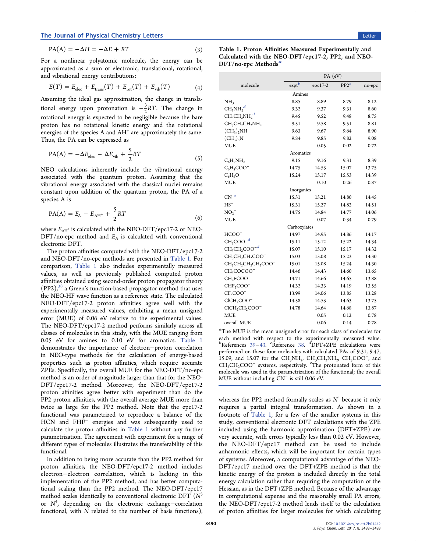# <span id="page-2-0"></span>The Journal of Physical Chemistry Letters Letters Letter Letter Letter Letter Letter Letter Letters Letters Letters Letters Letters Letters Letters Letters Letters Letters Letters Letters Letters Letters Letters Letters Le

$$
PA(A) = -\Delta H = -\Delta E + RT \tag{3}
$$

For a nonlinear polyatomic molecule, the energy can be approximated as a sum of electronic, translational, rotational, and vibrational energy contributions:

$$
E(T) = Eelec + Etrans(T) + Erot(T) + Evib(T)
$$
 (4)

Assuming the ideal gas approximation, the change in translational energy upon protonation is  $-\frac{3}{2}RT$ . The change in rotational energy is expected to be negligible because the bare proton has no rotational kinetic energy and the rotational energies of the species A and  $AH<sup>+</sup>$  are approximately the same. Thus, the PA can be expressed as

$$
PA(A) = -\Delta E_{elec} - \Delta E_{vib} + \frac{5}{2}RT
$$
\n(5)

NEO calculations inherently include the vibrational energy associated with the quantum proton. Assuming that the vibrational energy associated with the classical nuclei remains constant upon addition of the quantum proton, the PA of a species A is

$$
PA(A) = E_A - E_{AH} + \frac{5}{2}RT
$$
 (6)

where  $E_{\text{AH}^*}$  is calculated with the NEO-DFT/epc17-2 or NEO- $DFT/no\text{-}epc$  method and  $E_A$  is calculated with conventional electronic DFT.

The proton affinities computed with the NEO-DFT/epc17-2 and NEO-DFT/no-epc methods are presented in Table 1. For comparison, Table 1 also includes experimentally measured values, as well as previously published computed proton affinities obtained using second-order proton propagator theory  $(PP2)$ ,<sup>[38](#page-5-0)</sup> a Green's function-based propagator method that uses the NEO-HF wave function as a reference state. The calculated NEO-DFT/epc17-2 proton affinities agree well with the experimentally measured values, exhibiting a mean unsigned error (MUE) of 0.06 eV relative to the experimental values. The NEO-DFT/epc17-2 method performs similarly across all classes of molecules in this study, with the MUE ranging from 0.05 eV for amines to 0.10 eV for aromatics. Table 1 demonstrates the importance of electron−proton correlation in NEO-type methods for the calculation of energy-based properties such as proton affinities, which require accurate ZPEs. Specifically, the overall MUE for the NEO-DFT/no-epc method is an order of magnitude larger than that for the NEO-DFT/epc17-2 method. Moreover, the NEO-DFT/epc17-2 proton affinities agree better with experiment than do the PP2 proton affinities, with the overall average MUE more than twice as large for the PP2 method. Note that the epc17-2 functional was parametrized to reproduce a balance of the HCN and FHF<sup>−</sup> energies and was subsequently used to calculate the proton affinities in Table 1 without any further parametrization. The agreement with experiment for a range of different types of molecules illustrates the transferability of this functional.

In addition to being more accurate than the PP2 method for proton affinities, the NEO-DFT/epc17-2 method includes electron−electron correlation, which is lacking in this implementation of the PP2 method, and has better computational scaling than the PP2 method. The NEO-DFT/epc17 method scales identically to conventional electronic DFT  $(N^3)$ or  $N^4$ , depending on the electronic exchange-correlation functional, with N related to the number of basis functions),

| Table 1. Proton Affinities Measured Experimentally and |
|--------------------------------------------------------|
| Calculated with the NEO-DFT/epc17-2, PP2, and NEO-     |
| DFT/no-epc Methods"                                    |

|                                                                                  | PA (eV)                           |         |                  |        |  |
|----------------------------------------------------------------------------------|-----------------------------------|---------|------------------|--------|--|
| molecule                                                                         | $exp t$ <sup><math>b</math></sup> | epc17-2 | PP2 <sup>c</sup> | no-epc |  |
|                                                                                  | Amines                            |         |                  |        |  |
| NH <sub>3</sub>                                                                  | 8.85                              | 8.89    | 8.79             | 8.12   |  |
| $CH_3NH_2^d$                                                                     | 9.32                              | 9.37    | 9.31             | 8.60   |  |
| $CH_3CH_2NH_2^d$                                                                 | 9.45                              | 9.52    | 9.48             | 8.75   |  |
| $CH_3CH_2CH_2NH_2$                                                               | 9.51                              | 9.58    | 9.51             | 8.81   |  |
| $(CH_3)_2NH$                                                                     | 9.63                              | 9.67    | 9.64             | 8.90   |  |
| $(CH_3)_3N$                                                                      | 9.84                              | 9.85    | 9.82             | 9.08   |  |
| <b>MUE</b>                                                                       |                                   | 0.05    | 0.02             | 0.72   |  |
|                                                                                  | Aromatics                         |         |                  |        |  |
| $C_6H_5NH_2$                                                                     | 9.15                              | 9.16    | 9.31             | 8.39   |  |
| $C_6H_5COO^-$                                                                    | 14.75                             | 14.53   | 15.07            | 13.75  |  |
| $C_6H_5O^-$                                                                      | 15.24                             | 15.17   | 15.53            | 14.39  |  |
| <b>MUE</b>                                                                       |                                   | 0.10    | 0.26             | 0.87   |  |
|                                                                                  | Inorganics                        |         |                  |        |  |
| $CN^{-e}$                                                                        | 15.31                             | 15.21   | 14.80            | 14.45  |  |
| $HS^-$                                                                           | 15.31                             | 15.27   | 14.82            | 14.51  |  |
| $NO_2^-$                                                                         | 14.75                             | 14.84   | 14.77            | 14.06  |  |
| MUE                                                                              |                                   | 0.07    | 0.34             | 0.79   |  |
|                                                                                  | Carboxylates                      |         |                  |        |  |
| HCOO <sup>-</sup>                                                                | 14.97                             | 14.95   | 14.86            | 14.17  |  |
| $CH3COO-d$                                                                       | 15.11                             | 15.12   | 15.22            | 14.34  |  |
| $CH_3CH_2COO^{-d}$                                                               | 15.07                             | 15.10   | 15.17            | 14.32  |  |
| CH <sub>3</sub> CH <sub>2</sub> CH <sub>2</sub> COO <sup>-</sup>                 | 15.03                             | 15.08   | 15.23            | 14.30  |  |
| CH <sub>3</sub> CH <sub>2</sub> CH <sub>2</sub> CH <sub>2</sub> COO <sup>-</sup> | 15.01                             | 15.08   | 15.24            | 14.30  |  |
| CH <sub>3</sub> COCOO <sup>-</sup>                                               | 14.46                             | 14.43   | 14.60            | 13.65  |  |
| CH <sub>2</sub> FCOO <sup>-</sup>                                                | 14.71                             | 14.66   | 14.65            | 13.88  |  |
| CHF <sub>2</sub> COO <sup>-</sup>                                                | 14.32                             | 14.33   | 14.19            | 13.55  |  |
| $CF3COO-$                                                                        | 13.99                             | 14.06   | 13.85            | 13.28  |  |
| $ClCH2COO-$                                                                      | 14.58                             | 14.53   | 14.63            | 13.75  |  |
| ClCH <sub>2</sub> CH <sub>2</sub> COO <sup>-</sup>                               | 14.78                             | 14.64   | 14.68            | 13.87  |  |
| <b>MUE</b>                                                                       |                                   | 0.05    | 0.12             | 0.78   |  |
| overall MUE                                                                      |                                   | 0.06    | 0.14             | 0.78   |  |
| <sup>a</sup> The MUE is the mean unsigned error for each class of molecules for  |                                   |         |                  |        |  |

each method with respect to the experimentally measured value. b
References [39](#page-5-0)–[43](#page-5-0). <sup>c</sup>Reference [38.](#page-5-0) dDFT+ZPE calculations were performed on these four molecules with calculated PAs of 9.31, 9.47, 15.09, and 15.07 for the CH<sub>3</sub>NH<sub>2</sub>, CH<sub>3</sub>CH<sub>2</sub>NH<sub>2</sub>, CH<sub>3</sub>COO<sup>-</sup>, and  $CH<sub>3</sub>CH<sub>2</sub>COO<sup>-</sup>$  systems, respectively. <sup>e</sup>The protonated form of this molecule was used in the parametrization of the functional; the overall MUE without including CN<sup>−</sup> is still 0.06 eV.

whereas the PP2 method formally scales as  $N<sup>4</sup>$  because it only requires a partial integral transformation. As shown in a footnote of Table 1, for a few of the smaller systems in this study, conventional electronic DFT calculations with the ZPE included using the harmonic approximation (DFT+ZPE) are very accurate, with errors typically less than 0.02 eV. However, the NEO-DFT/epc17 method can be used to include anharmonic effects, which will be important for certain types of systems. Moreover, a computational advantage of the NEO-DFT/epc17 method over the DFT+ZPE method is that the kinetic energy of the proton is included directly in the total energy calculation rather than requiring the computation of the Hessian, as in the DFT+ZPE method. Because of the advantage in computational expense and the reasonably small PA errors, the NEO-DFT/epc17-2 method lends itself to the calculation of proton affinities for larger molecules for which calculating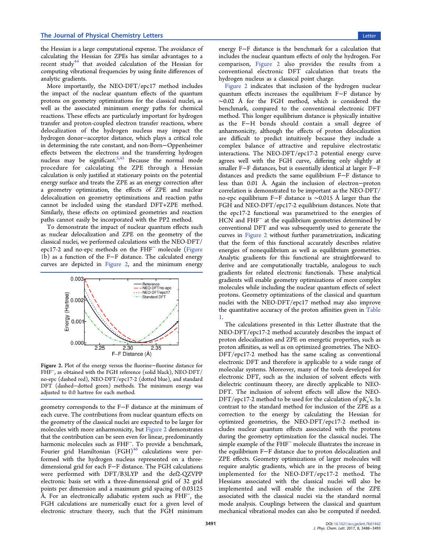the Hessian is a large computational expense. The avoidance of calculating the Hessian for ZPEs has similar advantages to a recent study<sup>[44](#page-5-0)</sup> that avoided calculation of the Hessian for computing vibrational frequencies by using finite differences of analytic gradients.

More importantly, the NEO-DFT/epc17 method includes the impact of the nuclear quantum effects of the quantum protons on geometry optimizations for the classical nuclei, as well as the associated minimum energy paths for chemical reactions. These effects are particularly important for hydrogen transfer and proton-coupled electron transfer reactions, where delocalization of the hydrogen nucleus may impact the hydrogen donor−acceptor distance, which plays a critical role in determining the rate constant, and non-Born−Oppenheimer effects between the electrons and the transferring hydrogen nucleus may be significant.<sup>[5](#page-4-0),[45](#page-5-0)</sup> Because the normal mode procedure for calculating the ZPE through a Hessian calculation is only justified at stationary points on the potential energy surface and treats the ZPE as an energy correction after a geometry optimization, the effects of ZPE and nuclear delocalization on geometry optimizations and reaction paths cannot be included using the standard DFT+ZPE method. Similarly, these effects on optimized geometries and reaction paths cannot easily be incorporated with the PP2 method.

To demonstrate the impact of nuclear quantum effects such as nuclear delocalization and ZPE on the geometry of the classical nuclei, we performed calculations with the NEO-DFT/ epc17-2 and no-epc methods on the FHF<sup>−</sup> molecule [\(Figure](#page-1-0) [1](#page-1-0)b) as a function of the F−F distance. The calculated energy curves are depicted in Figure 2, and the minimum energy



Figure 2. Plot of the energy versus the fluorine−fluorine distance for FHF<sup>−</sup>, as obtained with the FGH reference (solid black), NEO-DFT/ no-epc (dashed red), NEO-DFT/epc17-2 (dotted blue), and standard DFT (dashed−dotted green) methods. The minimum energy was adjusted to 0.0 hartree for each method.

geometry corresponds to the F−F distance at the minimum of each curve. The contributions from nuclear quantum effects on the geometry of the classical nuclei are expected to be larger for molecules with more anharmonicity, but Figure 2 demonstrates that the contribution can be seen even for linear, predominantly harmonic molecules such as FHF<sup>−</sup>. To provide a benchmark, Fourier grid Hamiltonian (FGH)<sup>[46](#page-5-0)</sup> calculations were performed with the hydrogen nucleus represented on a threedimensional grid for each F−F distance. The FGH calculations were performed with DFT/B3LYP and the def2-QZVPP electronic basis set with a three-dimensional grid of 32 grid points per dimension and a maximum grid spacing of 0.03125 Å. For an electronically adiabatic system such as FHF<sup>−</sup>, the FGH calculations are numerically exact for a given level of electronic structure theory, such that the FGH minimum

energy F−F distance is the benchmark for a calculation that includes the nuclear quantum effects of only the hydrogen. For comparison, Figure 2 also provides the results from a conventional electronic DFT calculation that treats the hydrogen nucleus as a classical point charge.

Figure 2 indicates that inclusion of the hydrogen nuclear quantum effects increases the equilibrium F−F distance by ∼0.02 Å for the FGH method, which is considered the benchmark, compared to the conventional electronic DFT method. This longer equilibrium distance is physically intuitive as the F−H bonds should contain a small degree of anharmonicity, although the effects of proton delocalization are difficult to predict intuitively because they include a complex balance of attractive and repulsive electrostatic interactions. The NEO-DFT/epc17-2 potential energy curve agrees well with the FGH curve, differing only slightly at smaller F−F distances, but is essentially identical at larger F−F distances and predicts the same equilibrium F−F distance to less than 0.01 Å. Again the inclusion of electron−proton correlation is demonstrated to be important as the NEO-DFT/ no-epc equilibrium F−F distance is ∼0.015 Å larger than the FGH and NEO-DFT/epc17-2 equilibrium distances. Note that the epc17-2 functional was parametrized to the energies of HCN and FHF<sup>−</sup> at the equilibrium geometries determined by conventional DFT and was subsequently used to generate the curves in Figure 2 without further parametrization, indicating that the form of this functional accurately describes relative energies of nonequilibrium as well as equilibrium geometries. Analytic gradients for this functional are straightforward to derive and are computationally tractable, analogous to such gradients for related electronic functionals. These analytical gradients will enable geometry optimizations of more complex molecules while including the nuclear quantum effects of select protons. Geometry optimizations of the classical and quantum nuclei with the NEO-DFT/epc17 method may also improve the quantitative accuracy of the proton affinities given in [Table](#page-2-0) [1](#page-2-0).

The calculations presented in this Letter illustrate that the NEO-DFT/epc17-2 method accurately describes the impact of proton delocalization and ZPE on energetic properties, such as proton affinities, as well as on optimized geometries. The NEO-DFT/epc17-2 method has the same scaling as conventional electronic DFT and therefore is applicable to a wide range of molecular systems. Moreover, many of the tools developed for electronic DFT, such as the inclusion of solvent effects with dielectric continuum theory, are directly applicable to NEO-DFT. The inclusion of solvent effects will allow the NEO-DFT/epc17-2 method to be used for the calculation of  $pK_a$ 's. In contrast to the standard method for inclusion of the ZPE as a correction to the energy by calculating the Hessian for optimized geometries, the NEO-DFT/epc17-2 method includes nuclear quantum effects associated with the protons during the geometry optimization for the classical nuclei. The simple example of the FHF<sup>−</sup> molecule illustrates the increase in the equilibrium F−F distance due to proton delocalization and ZPE effects. Geometry optimizations of larger molecules will require analytic gradients, which are in the process of being implemented for the NEO-DFT/epc17-2 method. The Hessians associated with the classical nuclei will also be implemented and will enable the inclusion of the ZPE associated with the classical nuclei via the standard normal mode analysis. Couplings between the classical and quantum mechanical vibrational modes can also be computed if needed.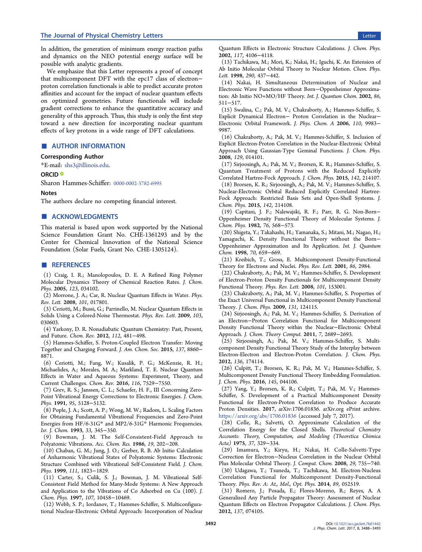### <span id="page-4-0"></span>The Journal of Physical Chemistry Letters Letters Letter Letter Letter Letter Letter Letter Letter Letter Letter

We emphasize that this Letter represents a proof of concept that multicomponent DFT with the epc17 class of electron− proton correlation functionals is able to predict accurate proton affinities and account for the impact of nuclear quantum effects on optimized geometries. Future functionals will include gradient corrections to enhance the quantitative accuracy and generality of this approach. Thus, this study is only the first step toward a new direction for incorporating nuclear quantum effects of key protons in a wide range of DFT calculations.

# ■ AUTHOR INFORMATION

# Corresponding Author

\*E-mail: [shs3@illinois.edu](mailto:shs3@illinois.edu).

# ORCID<sup>®</sup>

Sharon Hammes-Schiffer: [0000-0002-3782-6995](http://orcid.org/0000-0002-3782-6995)

#### **Notes**

The authors declare no competing financial interest.

# ■ ACKNOWLEDGMENTS

This material is based upon work supported by the National Science Foundation Grant No. CHE-1361293 and by the Center for Chemical Innovation of the National Science Foundation (Solar Fuels, Grant No. CHE-1305124).

## ■ REFERENCES

(1) Craig, I. R.; Manolopoulos, D. E. A Refined Ring Polymer Molecular Dynamics Theory of Chemical Reaction Rates. J. Chem. Phys. 2005, 123, 034102.

(2) Morrone, J. A.; Car, R. Nuclear Quantum Effects in Water. Phys. Rev. Lett. 2008, 101, 017801.

(3) Ceriotti, M.; Bussi, G.; Parrinello, M. Nuclear Quantum Effects in Solids Using a Colored-Noise Thermostat. Phys. Rev. Lett. 2009, 103, 030603.

(4) Yarkony, D. R. Nonadiabatic Quantum Chemistry: Past, Present, and Future. Chem. Rev. 2012, 112, 481−498.

(5) Hammes-Schiffer, S. Proton-Coupled Electron Transfer: Moving Together and Charging Forward. J. Am. Chem. Soc. 2015, 137, 8860− 8871.

(6) Ceriotti, M.; Fang, W.; Kusalik, P. G.; McKenzie, R. H.; Michaelides, A.; Morales, M. A.; Markland, T. E. Nuclear Quantum Effects in Water and Aqueous Systems: Experiment, Theory, and Current Challenges. Chem. Rev. 2016, 116, 7529−7550.

(7) Grev, R. S.; Janssen, C. L.; Schaefer, H. F., III Concerning Zero-Point Vibrational Energy Corrections to Electronic Energies. J. Chem. Phys. 1991, 95, 5128−5132.

(8) Pople, J. A.; Scott, A. P.; Wong, M. W.; Radom, L. Scaling Factors for Obtaining Fundamental Vibrational Frequencies and Zero-Point Energies from HF/6-31G\* and MP2/6-31G\* Harmonic Frequencies. Isr. J. Chem. 1993, 33, 345−350.

(9) Bowman, J. M. The Self-Consistent-Field Approach to Polyatomic Vibrations. Acc. Chem. Res. 1986, 19, 202−208.

(10) Chaban, G. M.; Jung, J. O.; Gerber, R. B. Ab Initio Calculation of Anharmonic Vibrational States of Polyatomic Systems: Electronic Structure Combined with Vibrational Self-Consistent Field. J. Chem. Phys. 1999, 111, 1823−1829.

(11) Carter, S.; Culik, S. J.; Bowman, J. M. Vibrational Self-Consistent Field Method for Many-Mode Systems: A New Approach and Application to the Vibrations of Co Adsorbed on Cu (100). J. Chem. Phys. 1997, 107, 10458−10469.

(12) Webb, S. P.; Iordanov, T.; Hammes-Schiffer, S. Multiconfigurational Nuclear-Electronic Orbital Approach: Incorporation of Nuclear

Quantum Effects in Electronic Structure Calculations. J. Chem. Phys. 2002, 117, 4106−4118.

(13) Tachikawa, M.; Mori, K.; Nakai, H.; Iguchi, K. An Extension of Ab Initio Molecular Orbital Theory to Nuclear Motion. Chem. Phys. Lett. 1998, 290, 437−442.

(14) Nakai, H. Simultaneous Determination of Nuclear and Electronic Wave Functions without Born−Oppenheimer Approximation: Ab Initio NO+MO/HF Theory. Int. J. Quantum Chem. 2002, 86, 511−517.

(15) Swalina, C.; Pak, M. V.; Chakraborty, A.; Hammes-Schiffer, S. Explicit Dynamical Electron− Proton Correlation in the Nuclear− Electronic Orbital Framework. J. Phys. Chem. A 2006, 110, 9983− 9987.

(16) Chakraborty, A.; Pak, M. V.; Hammes-Schiffer, S. Inclusion of Explicit Electron-Proton Correlation in the Nuclear-Electronic Orbital Approach Using Gaussian-Type Geminal Functions. J. Chem. Phys. 2008, 129, 014101.

(17) Sirjoosingh, A.; Pak, M. V.; Brorsen, K. R.; Hammes-Schiffer, S. Quantum Treatment of Protons with the Reduced Explicitly Correlated Hartree-Fock Approach. J. Chem. Phys. 2015, 142, 214107. (18) Brorsen, K. R.; Sirjoosingh, A.; Pak, M. V.; Hammes-Schiffer, S. Nuclear-Electronic Orbital Reduced Explicitly Correlated Hartree-

Fock Approach: Restricted Basis Sets and Open-Shell Systems. J. Chem. Phys. 2015, 142, 214108.

(19) Capitani, J. F.; Nalewajski, R. F.; Parr, R. G. Non-Born− Oppenheimer Density Functional Theory of Molecular Systems. J. Chem. Phys. 1982, 76, 568−573.

(20) Shigeta, Y.; Takahashi, H.; Yamanaka, S.; Mitani, M.; Nagao, H.; Yamaguchi, K. Density Functional Theory without the Born− Oppenheimer Approximation and Its Application. Int. J. Quantum Chem. 1998, 70, 659−669.

(21) Kreibich, T.; Gross, E. Multicomponent Density-Functional Theory for Electrons and Nuclei. Phys. Rev. Lett. 2001, 86, 2984.

(22) Chakraborty, A.; Pak, M. V.; Hammes-Schiffer, S. Development of Electron-Proton Density Functionals for Multicomponent Density Functional Theory. Phys. Rev. Lett. 2008, 101, 153001.

(23) Chakraborty, A.; Pak, M. V.; Hammes-Schiffer, S. Properties of the Exact Universal Functional in Multicomponent Density Functional Theory. J. Chem. Phys. 2009, 131, 124115.

(24) Sirjoosingh, A.; Pak, M. V.; Hammes-Schiffer, S. Derivation of an Electron−Proton Correlation Functional for Multicomponent Density Functional Theory within the Nuclear−Electronic Orbital Approach. J. Chem. Theory Comput. 2011, 7, 2689−2693.

(25) Sirjoosingh, A.; Pak, M. V.; Hammes-Schiffer, S. Multicomponent Density Functional Theory Study of the Interplay between Electron-Electron and Electron-Proton Correlation. J. Chem. Phys. 2012, 136, 174114.

(26) Culpitt, T.; Brorsen, K. R.; Pak, M. V.; Hammes-Schiffer, S. Multicomponent Density Functional Theory Embedding Formulation. J. Chem. Phys. 2016, 145, 044106.

(27) Yang, Y.; Brorsen, K. R.; Culpitt, T.; Pak, M. V.; Hammes-Schiffer, S. Development of a Practical Multicomponent Density Functional for Electron-Proton Correlation to Produce Accurate Proton Densities. 2017, arXiv:1706.01836. arXiv.org ePrint archive. <https://arxiv.org/abs/1706.01836> (accessed July 7, 2017).

(28) Colle, R.; Salvetti, O. Approximate Calculation of the Correlation Energy for the Closed Shells. Theoretical Chemistry Accounts: Theory, Computation, and Modeling (Theoretica Chimica Acta) 1975, 37, 329−334.

(29) Imamura, Y.; Kiryu, H.; Nakai, H. Colle-Salvetti-Type Correction for Electron−Nucleus Correlation in the Nuclear Orbital Plus Molecular Orbital Theory. J. Comput. Chem. 2008, 29, 735−740.

(30) Udagawa, T.; Tsuneda, T.; Tachikawa, M. Electron-Nucleus Correlation Functional for Multicomponent Density-Functional Theory. Phys. Rev. A: At., Mol., Opt. Phys. 2014, 89, 052519.

(31) Romero, J.; Posada, E.; Flores-Moreno, R.; Reyes, A. A Generalized Any Particle Propagator Theory: Assessment of Nuclear Quantum Effects on Electron Propagator Calculations. J. Chem. Phys. 2012, 137, 074105.